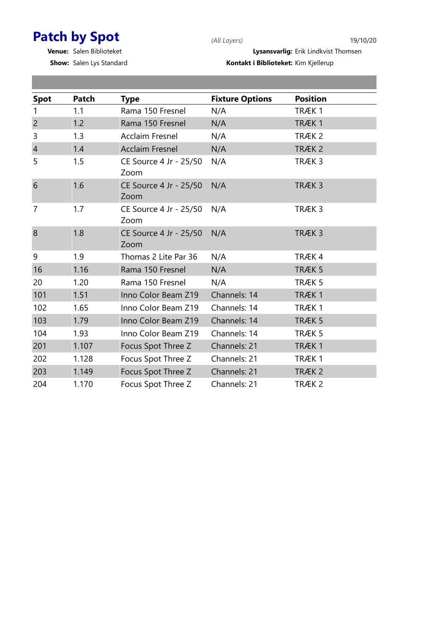## Patch by Spot (All Layers) 19/10/20

п

Show: Salen Lys Standard

Venue: Salen Biblioteket Lysansvarlig: Erik Lindkvist Thomsen

| <b>Spot</b>    | Patch | <b>Type</b>                    | <b>Fixture Options</b> | <b>Position</b>   |
|----------------|-------|--------------------------------|------------------------|-------------------|
| 1              | 1.1   | Rama 150 Fresnel               | N/A                    | TRÆK1             |
| $\overline{2}$ | 1.2   | Rama 150 Fresnel               | N/A                    | TRÆK 1            |
| 3              | 1.3   | <b>Acclaim Fresnel</b>         | N/A                    | TRÆK <sub>2</sub> |
| $\overline{4}$ | 1.4   | <b>Acclaim Fresnel</b>         | N/A                    | TRÆK <sub>2</sub> |
| 5              | 1.5   | CE Source 4 Jr - 25/50<br>Zoom | N/A                    | TRÆK 3            |
| 6              | 1.6   | CE Source 4 Jr - 25/50<br>Zoom | N/A                    | TRÆK 3            |
| $\overline{7}$ | 1.7   | CE Source 4 Jr - 25/50<br>Zoom | N/A                    | TRÆK 3            |
| 8              | 1.8   | CE Source 4 Jr - 25/50<br>Zoom | N/A                    | TRÆK <sub>3</sub> |
| 9              | 1.9   | Thomas 2 Lite Par 36           | N/A                    | TRÆK4             |
| 16             | 1.16  | Rama 150 Fresnel               | N/A                    | TRÆK 5            |
| 20             | 1.20  | Rama 150 Fresnel               | N/A                    | TRÆK 5            |
| 101            | 1.51  | Inno Color Beam Z19            | Channels: 14           | TRÆK1             |
| 102            | 1.65  | Inno Color Beam Z19            | Channels: 14           | TRÆK1             |
| 103            | 1.79  | Inno Color Beam Z19            | Channels: 14           | TRÆK 5            |
| 104            | 1.93  | Inno Color Beam Z19            | Channels: 14           | TRÆK 5            |
| 201            | 1.107 | Focus Spot Three Z             | Channels: 21           | TRÆK 1            |
| 202            | 1.128 | Focus Spot Three Z             | Channels: 21           | TRÆK1             |
| 203            | 1.149 | Focus Spot Three Z             | Channels: 21           | TRÆK <sub>2</sub> |
| 204            | 1.170 | Focus Spot Three Z             | Channels: 21           | TRÆK <sub>2</sub> |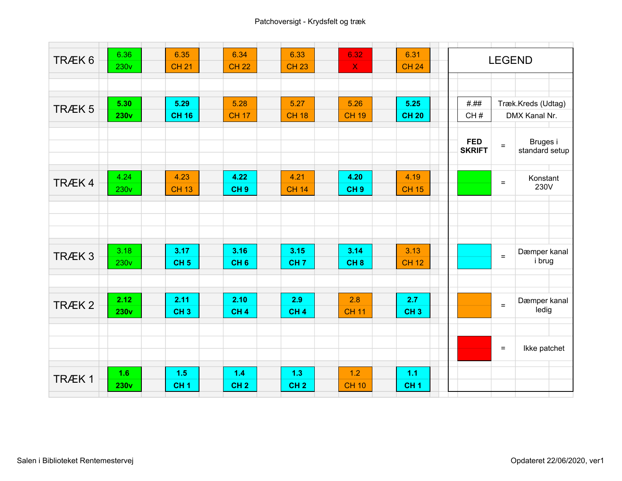| TRÆK <sub>6</sub> | 6.36<br><b>230v</b> | 6.35<br><b>CH 21</b> | 6.34<br><b>CH 22</b> | 6.33<br><b>CH 23</b> | 6.32<br>$\boldsymbol{\mathsf{X}}$ | 6.31<br><b>CH 24</b> | <b>LEGEND</b>               |                                   |                        |  |
|-------------------|---------------------|----------------------|----------------------|----------------------|-----------------------------------|----------------------|-----------------------------|-----------------------------------|------------------------|--|
|                   |                     |                      |                      |                      |                                   |                      |                             |                                   |                        |  |
|                   | 5.30                | 5.29                 | 5.28                 | 5.27                 | 5.26                              | 5.25                 | ###                         |                                   | Træk.Kreds (Udtag)     |  |
| TRÆK <sub>5</sub> | <b>230v</b>         | <b>CH 16</b>         | <b>CH 17</b>         | <b>CH 18</b>         | <b>CH 19</b>                      | <b>CH 20</b>         | CH#                         |                                   | DMX Kanal Nr.          |  |
|                   |                     |                      |                      |                      |                                   |                      |                             |                                   |                        |  |
|                   |                     |                      |                      |                      |                                   |                      | <b>FED</b><br><b>SKRIFT</b> | Bruges i<br>$=$<br>standard setup |                        |  |
|                   | 4.24                | 4.23                 | 4.22                 | 4.21                 | 4.20                              | 4.19                 |                             |                                   | Konstant               |  |
| TRÆK4             | <b>230v</b>         | <b>CH 13</b>         | CH <sub>9</sub>      | <b>CH 14</b>         | CH <sub>9</sub>                   | <b>CH 15</b>         |                             | $=$                               | 230V                   |  |
|                   |                     |                      |                      |                      |                                   |                      |                             |                                   |                        |  |
|                   |                     |                      |                      |                      |                                   |                      |                             |                                   |                        |  |
|                   |                     |                      |                      |                      |                                   |                      |                             |                                   |                        |  |
|                   | 3.18                | 3.17                 | 3.16                 | 3.15                 | 3.14                              | 3.13                 |                             |                                   |                        |  |
| TRÆK <sub>3</sub> | 230v                | CH <sub>5</sub>      | CH <sub>6</sub>      | CH <sub>7</sub>      | CH <sub>8</sub>                   | <b>CH 12</b>         |                             | $=$                               | Dæmper kanal<br>i brug |  |
|                   |                     |                      |                      |                      |                                   |                      |                             |                                   |                        |  |
|                   |                     |                      |                      |                      |                                   |                      |                             |                                   |                        |  |
| TRÆK <sub>2</sub> | 2.12                | 2.11                 | 2.10                 | 2.9                  | 2.8                               | 2.7                  |                             | $\equiv$                          | Dæmper kanal           |  |
|                   | 230v                | CH <sub>3</sub>      | CH <sub>4</sub>      | CH <sub>4</sub>      | <b>CH 11</b>                      | CH <sub>3</sub>      |                             |                                   | ledig                  |  |
|                   |                     |                      |                      |                      |                                   |                      |                             |                                   |                        |  |
|                   |                     |                      |                      |                      |                                   |                      |                             | $\equiv$                          | Ikke patchet           |  |
|                   |                     |                      |                      |                      |                                   |                      |                             |                                   |                        |  |
| TRÆK1             | 1.6                 | 1.5                  | 1.4                  | 1.3                  | 1.2                               | 1.1                  |                             |                                   |                        |  |
|                   | 230v                | CH <sub>1</sub>      | CH <sub>2</sub>      | CH <sub>2</sub>      | <b>CH 10</b>                      | CH <sub>1</sub>      |                             |                                   |                        |  |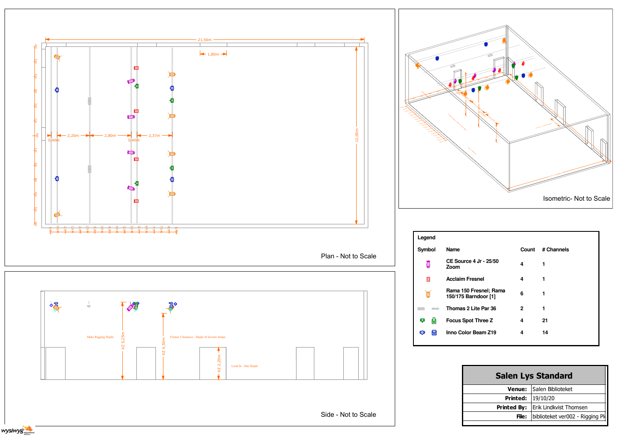

| <b>Salen Lys Standard</b> |                                 |  |  |  |  |  |
|---------------------------|---------------------------------|--|--|--|--|--|
|                           | <b>Venue: Salen Biblioteket</b> |  |  |  |  |  |
| <b>Printed: 19/10/20</b>  |                                 |  |  |  |  |  |
| <b>Printed By:</b>        | <b>Erik Lindkvist Thomsen</b>   |  |  |  |  |  |
| File:                     | biblioteket ver002 - Rigging PI |  |  |  |  |  |
|                           |                                 |  |  |  |  |  |



| Name                                           | Count        | # Channels |
|------------------------------------------------|--------------|------------|
| <b>CE Source 4 Jr - 25/50</b><br>Zoom          | 4            |            |
| Acclaim Fresnel                                | 4            |            |
| Rama 150 Fresnel; Rama<br>150/175 Barndoor [1] | 6            |            |
| Thomas 2 Lite Par 36                           | $\mathbf{2}$ |            |
| <b>Focus Spot Three Z</b>                      | 4            | 21         |
| Inno Color Beam Z19                            | 4            | 14         |
|                                                |              |            |